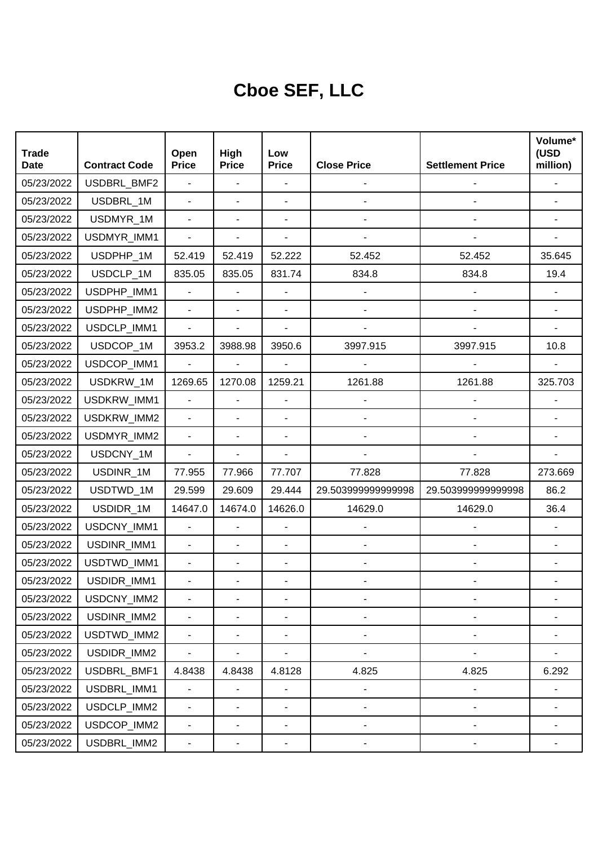## **Cboe SEF, LLC**

| <b>Trade</b><br><b>Date</b> | <b>Contract Code</b> | Open<br><b>Price</b>     | High<br><b>Price</b>     | Low<br><b>Price</b>      | <b>Close Price</b>           | <b>Settlement Price</b>      | Volume*<br>(USD<br>million) |
|-----------------------------|----------------------|--------------------------|--------------------------|--------------------------|------------------------------|------------------------------|-----------------------------|
| 05/23/2022                  | USDBRL_BMF2          | $\blacksquare$           | $\overline{\phantom{a}}$ | $\blacksquare$           |                              |                              |                             |
| 05/23/2022                  | USDBRL_1M            | $\overline{a}$           | ÷,                       | $\overline{\phantom{a}}$ |                              |                              |                             |
| 05/23/2022                  | USDMYR_1M            | $\blacksquare$           | ÷,                       |                          |                              |                              |                             |
| 05/23/2022                  | USDMYR_IMM1          | $\overline{\phantom{a}}$ |                          | $\overline{\phantom{a}}$ |                              |                              |                             |
| 05/23/2022                  | USDPHP_1M            | 52.419                   | 52.419                   | 52.222                   | 52.452                       | 52.452                       | 35.645                      |
| 05/23/2022                  | USDCLP 1M            | 835.05                   | 835.05                   | 831.74                   | 834.8                        | 834.8                        | 19.4                        |
| 05/23/2022                  | USDPHP_IMM1          | $\blacksquare$           | ÷,                       |                          |                              |                              |                             |
| 05/23/2022                  | USDPHP_IMM2          | $\blacksquare$           | ÷,                       | $\blacksquare$           | $\overline{\phantom{0}}$     |                              |                             |
| 05/23/2022                  | USDCLP_IMM1          | $\blacksquare$           |                          | $\blacksquare$           |                              |                              |                             |
| 05/23/2022                  | USDCOP_1M            | 3953.2                   | 3988.98                  | 3950.6                   | 3997.915                     | 3997.915                     | 10.8                        |
| 05/23/2022                  | USDCOP_IMM1          | $\blacksquare$           | ä,                       | L,                       |                              |                              |                             |
| 05/23/2022                  | USDKRW 1M            | 1269.65                  | 1270.08                  | 1259.21                  | 1261.88                      | 1261.88                      | 325.703                     |
| 05/23/2022                  | USDKRW_IMM1          | $\blacksquare$           | ÷,                       |                          |                              |                              |                             |
| 05/23/2022                  | USDKRW_IMM2          | $\overline{\phantom{0}}$ | ÷,                       | $\blacksquare$           |                              |                              |                             |
| 05/23/2022                  | USDMYR_IMM2          | $\blacksquare$           | ÷,                       | $\blacksquare$           |                              |                              |                             |
| 05/23/2022                  | USDCNY_1M            | $\blacksquare$           |                          | $\overline{\phantom{a}}$ |                              |                              |                             |
| 05/23/2022                  | USDINR_1M            | 77.955                   | 77.966                   | 77.707                   | 77.828                       | 77.828                       | 273.669                     |
| 05/23/2022                  | USDTWD_1M            | 29.599                   | 29.609                   | 29.444                   | 29.50399999999998            | 29.503999999999998           | 86.2                        |
| 05/23/2022                  | USDIDR_1M            | 14647.0                  | 14674.0                  | 14626.0                  | 14629.0                      | 14629.0                      | 36.4                        |
| 05/23/2022                  | USDCNY_IMM1          | $\blacksquare$           | $\overline{\phantom{a}}$ | $\blacksquare$           |                              |                              |                             |
| 05/23/2022                  | USDINR_IMM1          | ä,                       | ÷,                       | $\overline{\phantom{a}}$ |                              |                              |                             |
| 05/23/2022                  | USDTWD_IMM1          | $\blacksquare$           | ÷,                       | $\blacksquare$           |                              |                              |                             |
| 05/23/2022                  | USDIDR_IMM1          |                          |                          |                          |                              |                              |                             |
| 05/23/2022                  | USDCNY_IMM2          |                          |                          |                          | -                            |                              |                             |
| 05/23/2022                  | USDINR_IMM2          | $\blacksquare$           | ٠                        | $\blacksquare$           | $\qquad \qquad \blacksquare$ | $\qquad \qquad \blacksquare$ |                             |
| 05/23/2022                  | USDTWD_IMM2          | $\blacksquare$           | $\overline{\phantom{0}}$ | $\overline{\phantom{a}}$ | $\overline{\phantom{0}}$     | ۰                            |                             |
| 05/23/2022                  | USDIDR_IMM2          | $\blacksquare$           |                          | $\blacksquare$           | -                            |                              |                             |
| 05/23/2022                  | USDBRL_BMF1          | 4.8438                   | 4.8438                   | 4.8128                   | 4.825                        | 4.825                        | 6.292                       |
| 05/23/2022                  | USDBRL_IMM1          | $\blacksquare$           | $\overline{a}$           | $\blacksquare$           | -                            | $\qquad \qquad \blacksquare$ |                             |
| 05/23/2022                  | USDCLP_IMM2          | $\blacksquare$           | $\overline{\phantom{0}}$ | $\overline{\phantom{a}}$ | $\overline{\phantom{0}}$     | $\overline{\phantom{0}}$     |                             |
| 05/23/2022                  | USDCOP_IMM2          | $\blacksquare$           | ٠                        | $\blacksquare$           | -                            | $\overline{a}$               |                             |
| 05/23/2022                  | USDBRL_IMM2          | $\overline{\phantom{a}}$ | ۰                        | ۰                        |                              |                              |                             |